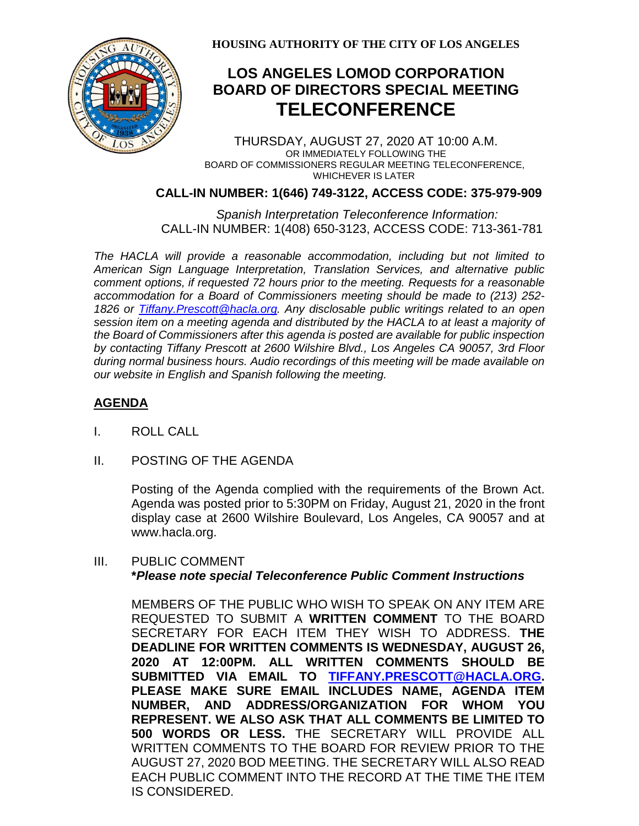

**HOUSING AUTHORITY OF THE CITY OF LOS ANGELES**

# **LOS ANGELES LOMOD CORPORATION BOARD OF DIRECTORS SPECIAL MEETING TELECONFERENCE**

THURSDAY, AUGUST 27, 2020 AT 10:00 A.M. OR IMMEDIATELY FOLLOWING THE BOARD OF COMMISSIONERS REGULAR MEETING TELECONFERENCE, WHICHEVER IS LATER

### **CALL-IN NUMBER: 1(646) 749-3122, ACCESS CODE: 375-979-909**

 *Spanish Interpretation Teleconference Information:* CALL-IN NUMBER: 1(408) 650-3123, ACCESS CODE: 713-361-781

*The HACLA will provide a reasonable accommodation, including but not limited to American Sign Language Interpretation, Translation Services, and alternative public comment options, if requested 72 hours prior to the meeting. Requests for a reasonable accommodation for a Board of Commissioners meeting should be made to (213) 252- 1826 or Tiffany.Prescott@hacla.org. Any disclosable public writings related to an open session item on a meeting agenda and distributed by the HACLA to at least a majority of the Board of Commissioners after this agenda is posted are available for public inspection by contacting Tiffany Prescott at 2600 Wilshire Blvd., Los Angeles CA 90057, 3rd Floor during normal business hours. Audio recordings of this meeting will be made available on our website in English and Spanish following the meeting.*

## **AGENDA**

- I. ROLL CALL
- II. POSTING OF THE AGENDA

Posting of the Agenda complied with the requirements of the Brown Act. Agenda was posted prior to 5:30PM on Friday, August 21, 2020 in the front display case at 2600 Wilshire Boulevard, Los Angeles, CA 90057 and at www.hacla.org.

### III. PUBLIC COMMENT **\****Please note special Teleconference Public Comment Instructions*

MEMBERS OF THE PUBLIC WHO WISH TO SPEAK ON ANY ITEM ARE REQUESTED TO SUBMIT A **WRITTEN COMMENT** TO THE BOARD SECRETARY FOR EACH ITEM THEY WISH TO ADDRESS. **THE DEADLINE FOR WRITTEN COMMENTS IS WEDNESDAY, AUGUST 26, 2020 AT 12:00PM. ALL WRITTEN COMMENTS SHOULD BE SUBMITTED VIA EMAIL TO [TIFFANY.PRESCOTT@HACLA.ORG.](mailto:TIFFANY.PRESCOTT@HACLA.ORG) PLEASE MAKE SURE EMAIL INCLUDES NAME, AGENDA ITEM NUMBER, AND ADDRESS/ORGANIZATION FOR WHOM YOU REPRESENT. WE ALSO ASK THAT ALL COMMENTS BE LIMITED TO 500 WORDS OR LESS.** THE SECRETARY WILL PROVIDE ALL WRITTEN COMMENTS TO THE BOARD FOR REVIEW PRIOR TO THE AUGUST 27, 2020 BOD MEETING. THE SECRETARY WILL ALSO READ EACH PUBLIC COMMENT INTO THE RECORD AT THE TIME THE ITEM IS CONSIDERED.